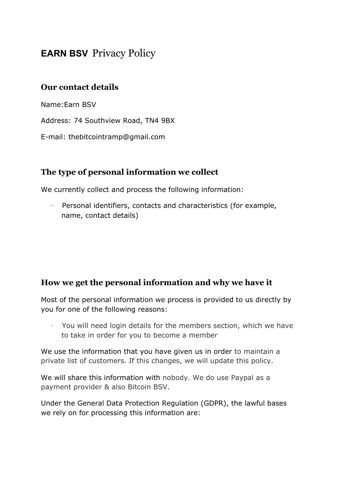# **EARN BSV** Privacy Policy

## **Our contact details**

Name:Earn BSV

Address: 74 Southview Road, TN4 9BX

E-mail: thebitcointramp@gmail.com

### **The type of personal information we collect**

We currently collect and process the following information:

· Personal identifiers, contacts and characteristics (for example, name, contact details)

#### **How we get the personal information and why we have it**

Most of the personal information we process is provided to us directly by you for one of the following reasons:

You will need login details for the members section, which we have to take in order for you to become a member

We use the information that you have given us in order to maintain a private list of customers. If this changes, we will update this policy.

We will share this information with nobody. We do use Paypal as a payment provider & also Bitcoin BSV.

Under the General Data Protection Regulation (GDPR), the lawful bases we rely on for processing this information are: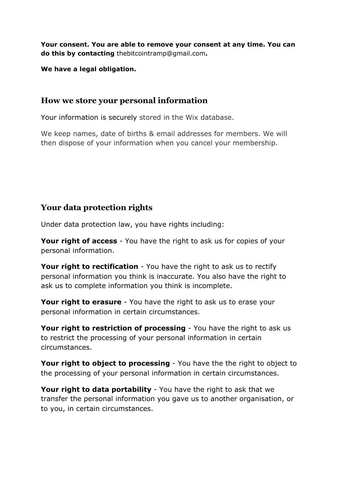**Your consent. You are able to remove your consent at any time. You can do this by contacting** thebitcointramp@gmail.com**.**

**We have a legal obligation.**

## **How we store your personal information**

Your information is securely stored in the Wix database.

We keep names, date of births & email addresses for members. We will then dispose of your information when you cancel your membership.

# **Your data protection rights**

Under data protection law, you have rights including:

**Your right of access** - You have the right to ask us for copies of your personal information.

**Your right to rectification** - You have the right to ask us to rectify personal information you think is inaccurate. You also have the right to ask us to complete information you think is incomplete.

**Your right to erasure** - You have the right to ask us to erase your personal information in certain circumstances.

**Your right to restriction of processing** - You have the right to ask us to restrict the processing of your personal information in certain circumstances.

**Your right to object to processing** - You have the the right to object to the processing of your personal information in certain circumstances.

**Your right to data portability** - You have the right to ask that we transfer the personal information you gave us to another organisation, or to you, in certain circumstances.